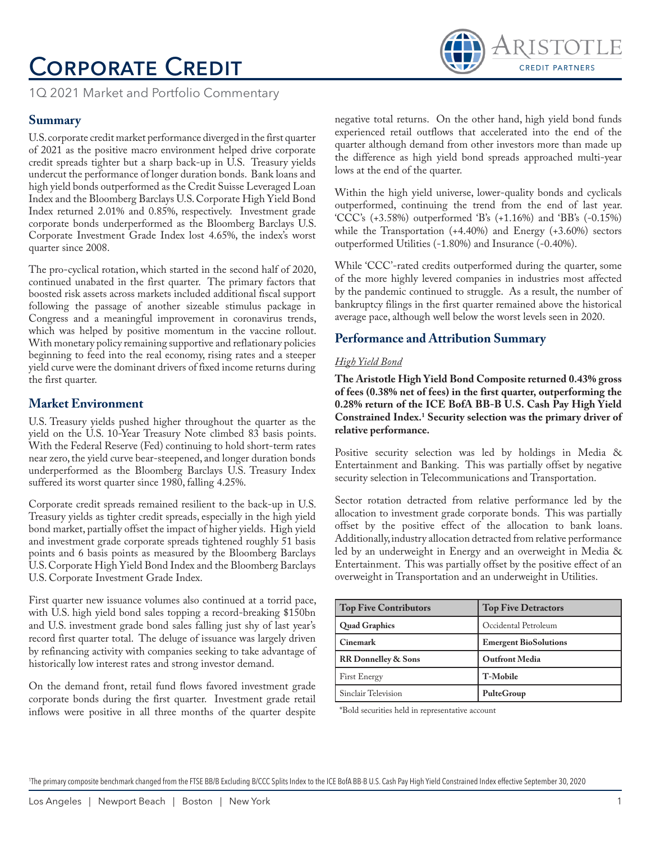# Corporate Credit



1Q 2021 Market and Portfolio Commentary

## **Summary**

U.S. corporate credit market performance diverged in the first quarter of 2021 as the positive macro environment helped drive corporate credit spreads tighter but a sharp back-up in U.S. Treasury yields undercut the performance of longer duration bonds. Bank loans and high yield bonds outperformed as the Credit Suisse Leveraged Loan Index and the Bloomberg Barclays U.S. Corporate High Yield Bond Index returned 2.01% and 0.85%, respectively. Investment grade corporate bonds underperformed as the Bloomberg Barclays U.S. Corporate Investment Grade Index lost 4.65%, the index's worst quarter since 2008.

The pro-cyclical rotation, which started in the second half of 2020, continued unabated in the first quarter. The primary factors that boosted risk assets across markets included additional fiscal support following the passage of another sizeable stimulus package in Congress and a meaningful improvement in coronavirus trends, which was helped by positive momentum in the vaccine rollout. With monetary policy remaining supportive and reflationary policies beginning to feed into the real economy, rising rates and a steeper yield curve were the dominant drivers of fixed income returns during the first quarter.

## **Market Environment**

U.S. Treasury yields pushed higher throughout the quarter as the yield on the U.S. 10-Year Treasury Note climbed 83 basis points. With the Federal Reserve (Fed) continuing to hold short-term rates near zero, the yield curve bear-steepened, and longer duration bonds underperformed as the Bloomberg Barclays U.S. Treasury Index suffered its worst quarter since 1980, falling 4.25%.

Corporate credit spreads remained resilient to the back-up in U.S. Treasury yields as tighter credit spreads, especially in the high yield bond market, partially offset the impact of higher yields. High yield and investment grade corporate spreads tightened roughly 51 basis points and 6 basis points as measured by the Bloomberg Barclays U.S. Corporate High Yield Bond Index and the Bloomberg Barclays U.S. Corporate Investment Grade Index.

First quarter new issuance volumes also continued at a torrid pace, with U.S. high yield bond sales topping a record-breaking \$150bn and U.S. investment grade bond sales falling just shy of last year's record first quarter total. The deluge of issuance was largely driven by refinancing activity with companies seeking to take advantage of historically low interest rates and strong investor demand.

On the demand front, retail fund flows favored investment grade corporate bonds during the first quarter. Investment grade retail inflows were positive in all three months of the quarter despite negative total returns. On the other hand, high yield bond funds experienced retail outflows that accelerated into the end of the quarter although demand from other investors more than made up the difference as high yield bond spreads approached multi-year lows at the end of the quarter.

Within the high yield universe, lower-quality bonds and cyclicals outperformed, continuing the trend from the end of last year. 'CCC's (+3.58%) outperformed 'B's (+1.16%) and 'BB's (-0.15%) while the Transportation (+4.40%) and Energy (+3.60%) sectors outperformed Utilities (-1.80%) and Insurance (-0.40%).

While 'CCC'-rated credits outperformed during the quarter, some of the more highly levered companies in industries most affected by the pandemic continued to struggle. As a result, the number of bankruptcy filings in the first quarter remained above the historical average pace, although well below the worst levels seen in 2020.

## **Performance and Attribution Summary**

### *High Yield Bond*

**The Aristotle High Yield Bond Composite returned 0.43% gross of fees (0.38% net of fees) in the first quarter, outperforming the 0.28% return of the ICE BofA BB-B U.S. Cash Pay High Yield Constrained Index.1 Security selection was the primary driver of relative performance.**

Positive security selection was led by holdings in Media & Entertainment and Banking. This was partially offset by negative security selection in Telecommunications and Transportation.

Sector rotation detracted from relative performance led by the allocation to investment grade corporate bonds. This was partially offset by the positive effect of the allocation to bank loans. Additionally, industry allocation detracted from relative performance led by an underweight in Energy and an overweight in Media & Entertainment. This was partially offset by the positive effect of an overweight in Transportation and an underweight in Utilities.

| <b>Top Five Contributors</b> | <b>Top Five Detractors</b>   |
|------------------------------|------------------------------|
| <b>Quad Graphics</b>         | Occidental Petroleum         |
| Cinemark                     | <b>Emergent BioSolutions</b> |
| RR Donnelley & Sons          | <b>Outfront Media</b>        |
| <b>First Energy</b>          | T-Mobile                     |
| Sinclair Television          | PulteGroup                   |

\*Bold securities held in representative account

1 The primary composite benchmark changed from the FTSE BB/B Excluding B/CCC Splits Index to the ICE BofA BB-B U.S. Cash Pay High Yield Constrained Index effective September 30, 2020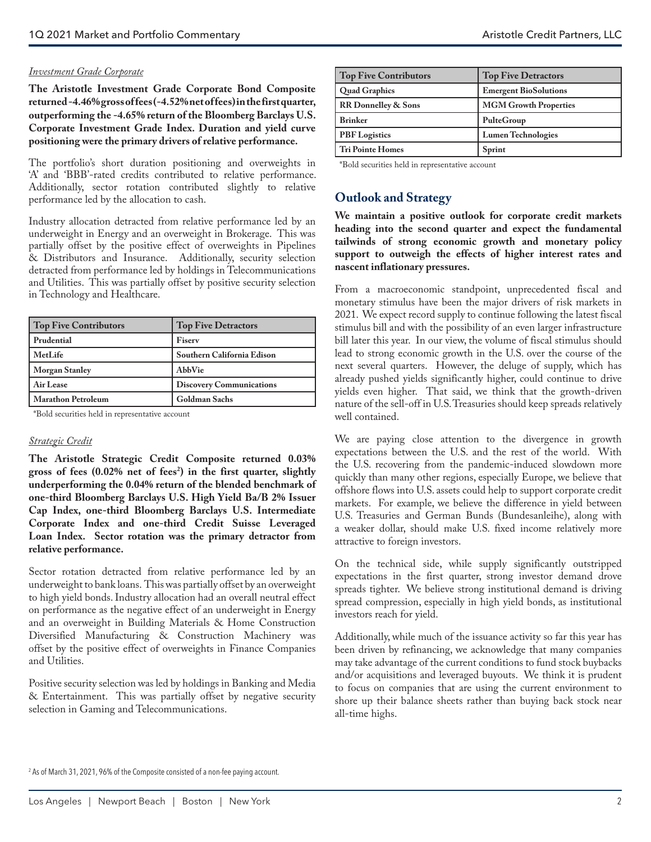#### *Investment Grade Corporate*

**The Aristotle Investment Grade Corporate Bond Composite returned -4.46% gross of fees (-4.52% net of fees) in the first quarter, outperforming the -4.65% return of the Bloomberg Barclays U.S. Corporate Investment Grade Index. Duration and yield curve positioning were the primary drivers of relative performance.**

The portfolio's short duration positioning and overweights in 'A' and 'BBB'-rated credits contributed to relative performance. Additionally, sector rotation contributed slightly to relative performance led by the allocation to cash.

Industry allocation detracted from relative performance led by an underweight in Energy and an overweight in Brokerage. This was partially offset by the positive effect of overweights in Pipelines & Distributors and Insurance. Additionally, security selection detracted from performance led by holdings in Telecommunications and Utilities. This was partially offset by positive security selection in Technology and Healthcare.

| <b>Top Five Contributors</b> | <b>Top Five Detractors</b>      |
|------------------------------|---------------------------------|
| Prudential                   | Fisery                          |
| MetLife                      | Southern California Edison      |
| <b>Morgan Stanley</b>        | AbbVie                          |
| Air Lease                    | <b>Discovery Communications</b> |
| <b>Marathon Petroleum</b>    | <b>Goldman Sachs</b>            |

\*Bold securities held in representative account

#### *Strategic Credit*

**The Aristotle Strategic Credit Composite returned 0.03% gross of fees (0.02% net of fees2 ) in the first quarter, slightly underperforming the 0.04% return of the blended benchmark of one-third Bloomberg Barclays U.S. High Yield Ba/B 2% Issuer Cap Index, one-third Bloomberg Barclays U.S. Intermediate Corporate Index and one-third Credit Suisse Leveraged Loan Index. Sector rotation was the primary detractor from relative performance.**

Sector rotation detracted from relative performance led by an underweight to bank loans. This was partially offset by an overweight to high yield bonds. Industry allocation had an overall neutral effect on performance as the negative effect of an underweight in Energy and an overweight in Building Materials & Home Construction Diversified Manufacturing & Construction Machinery was offset by the positive effect of overweights in Finance Companies and Utilities.

Positive security selection was led by holdings in Banking and Media & Entertainment. This was partially offset by negative security selection in Gaming and Telecommunications.

| <b>Top Five Contributors</b> | <b>Top Five Detractors</b>   |
|------------------------------|------------------------------|
| <b>Quad Graphics</b>         | <b>Emergent BioSolutions</b> |
| <b>RR</b> Donnelley & Sons   | <b>MGM Growth Properties</b> |
| <b>Brinker</b>               | PulteGroup                   |
| <b>PBF</b> Logistics         | <b>Lumen Technologies</b>    |
| <b>Tri Pointe Homes</b>      | Sprint                       |

\*Bold securities held in representative account

## **Outlook and Strategy**

**We maintain a positive outlook for corporate credit markets heading into the second quarter and expect the fundamental tailwinds of strong economic growth and monetary policy support to outweigh the effects of higher interest rates and nascent inflationary pressures.**

From a macroeconomic standpoint, unprecedented fiscal and monetary stimulus have been the major drivers of risk markets in 2021. We expect record supply to continue following the latest fiscal stimulus bill and with the possibility of an even larger infrastructure bill later this year. In our view, the volume of fiscal stimulus should lead to strong economic growth in the U.S. over the course of the next several quarters. However, the deluge of supply, which has already pushed yields significantly higher, could continue to drive yields even higher. That said, we think that the growth-driven nature of the sell-off in U.S. Treasuries should keep spreads relatively well contained.

We are paying close attention to the divergence in growth expectations between the U.S. and the rest of the world. With the U.S. recovering from the pandemic-induced slowdown more quickly than many other regions, especially Europe, we believe that offshore flows into U.S. assets could help to support corporate credit markets. For example, we believe the difference in yield between U.S. Treasuries and German Bunds (Bundesanleihe), along with a weaker dollar, should make U.S. fixed income relatively more attractive to foreign investors.

On the technical side, while supply significantly outstripped expectations in the first quarter, strong investor demand drove spreads tighter. We believe strong institutional demand is driving spread compression, especially in high yield bonds, as institutional investors reach for yield.

Additionally, while much of the issuance activity so far this year has been driven by refinancing, we acknowledge that many companies may take advantage of the current conditions to fund stock buybacks and/or acquisitions and leveraged buyouts. We think it is prudent to focus on companies that are using the current environment to shore up their balance sheets rather than buying back stock near all-time highs.

2 As of March 31, 2021, 96% of the Composite consisted of a non-fee paying account.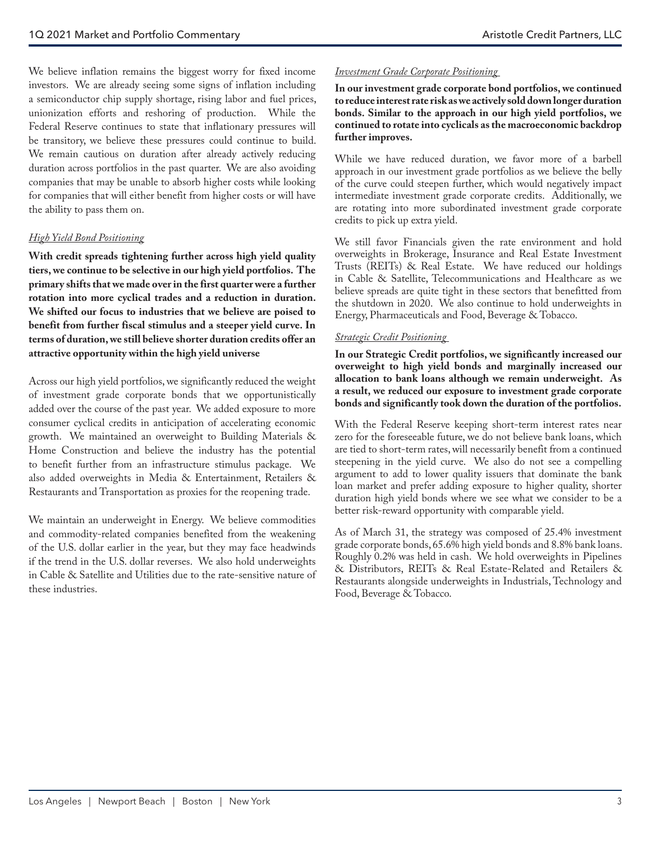We believe inflation remains the biggest worry for fixed income investors. We are already seeing some signs of inflation including a semiconductor chip supply shortage, rising labor and fuel prices, unionization efforts and reshoring of production. While the Federal Reserve continues to state that inflationary pressures will be transitory, we believe these pressures could continue to build. We remain cautious on duration after already actively reducing duration across portfolios in the past quarter. We are also avoiding companies that may be unable to absorb higher costs while looking for companies that will either benefit from higher costs or will have the ability to pass them on.

#### *High Yield Bond Positioning*

**With credit spreads tightening further across high yield quality tiers, we continue to be selective in our high yield portfolios. The primary shifts that we made over in the first quarter were a further rotation into more cyclical trades and a reduction in duration. We shifted our focus to industries that we believe are poised to benefit from further fiscal stimulus and a steeper yield curve. In terms of duration, we still believe shorter duration credits offer an attractive opportunity within the high yield universe**

Across our high yield portfolios, we significantly reduced the weight of investment grade corporate bonds that we opportunistically added over the course of the past year. We added exposure to more consumer cyclical credits in anticipation of accelerating economic growth. We maintained an overweight to Building Materials & Home Construction and believe the industry has the potential to benefit further from an infrastructure stimulus package. We also added overweights in Media & Entertainment, Retailers & Restaurants and Transportation as proxies for the reopening trade.

We maintain an underweight in Energy. We believe commodities and commodity-related companies benefited from the weakening of the U.S. dollar earlier in the year, but they may face headwinds if the trend in the U.S. dollar reverses. We also hold underweights in Cable & Satellite and Utilities due to the rate-sensitive nature of these industries.

#### *Investment Grade Corporate Positioning*

**In our investment grade corporate bond portfolios, we continued to reduce interest rate risk as we actively sold down longer duration bonds. Similar to the approach in our high yield portfolios, we continued to rotate into cyclicals as the macroeconomic backdrop further improves.** 

While we have reduced duration, we favor more of a barbell approach in our investment grade portfolios as we believe the belly of the curve could steepen further, which would negatively impact intermediate investment grade corporate credits. Additionally, we are rotating into more subordinated investment grade corporate credits to pick up extra yield.

We still favor Financials given the rate environment and hold overweights in Brokerage, Insurance and Real Estate Investment Trusts (REITs) & Real Estate. We have reduced our holdings in Cable & Satellite, Telecommunications and Healthcare as we believe spreads are quite tight in these sectors that benefitted from the shutdown in 2020. We also continue to hold underweights in Energy, Pharmaceuticals and Food, Beverage & Tobacco.

#### *Strategic Credit Positioning*

**In our Strategic Credit portfolios, we significantly increased our overweight to high yield bonds and marginally increased our allocation to bank loans although we remain underweight. As a result, we reduced our exposure to investment grade corporate bonds and significantly took down the duration of the portfolios.** 

With the Federal Reserve keeping short-term interest rates near zero for the foreseeable future, we do not believe bank loans, which are tied to short-term rates, will necessarily benefit from a continued steepening in the yield curve. We also do not see a compelling argument to add to lower quality issuers that dominate the bank loan market and prefer adding exposure to higher quality, shorter duration high yield bonds where we see what we consider to be a better risk-reward opportunity with comparable yield.

As of March 31, the strategy was composed of 25.4% investment grade corporate bonds, 65.6% high yield bonds and 8.8% bank loans. Roughly 0.2% was held in cash. We hold overweights in Pipelines & Distributors, REITs & Real Estate-Related and Retailers & Restaurants alongside underweights in Industrials, Technology and Food, Beverage & Tobacco.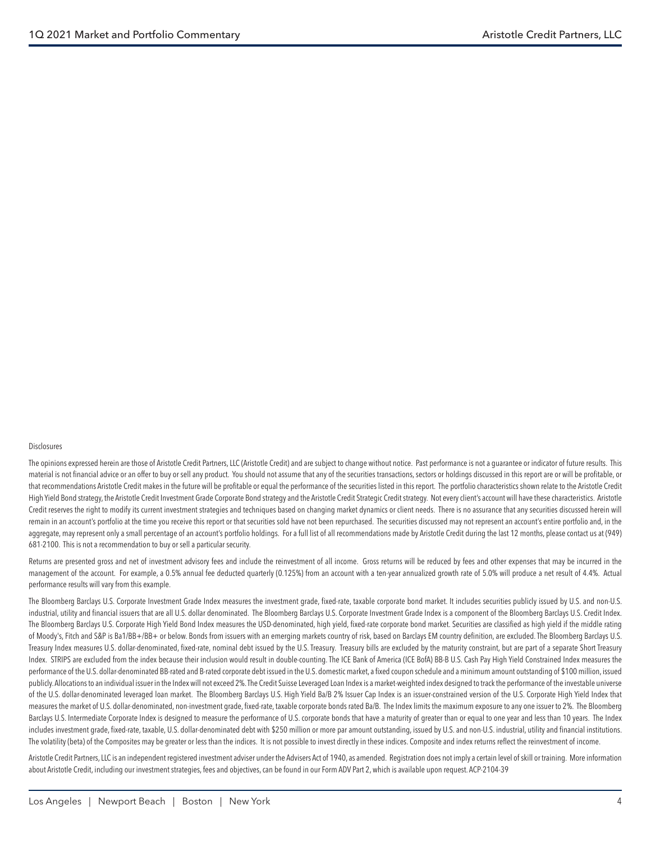#### Disclosures

The opinions expressed herein are those of Aristotle Credit Partners, LLC (Aristotle Credit) and are subject to change without notice. Past performance is not a quarantee or indicator of future results. This material is not financial advice or an offer to buy or sell any product. You should not assume that any of the securities transactions, sectors or holdings discussed in this report are or will be profitable, or that recommendations Aristotle Credit makes in the future will be profitable or equal the performance of the securities listed in this report. The portfolio characteristics shown relate to the Aristotle Credit High Yield Bond strategy, the Aristotle Credit Investment Grade Corporate Bond strategy and the Aristotle Credit Strategic Credit strategy. Not every client's account will have these characteristics. Aristotle Credit reserves the right to modify its current investment strategies and techniques based on changing market dynamics or client needs. There is no assurance that any securities discussed herein will remain in an account's portfolio at the time you receive this report or that securities sold have not been repurchased. The securities discussed may not represent an account's entire portfolio and, in the aggregate, may represent only a small percentage of an account's portfolio holdings. For a full list of all recommendations made by Aristotle Credit during the last 12 months, please contact us at (949) 681-2100. This is not a recommendation to buy or sell a particular security.

Returns are presented gross and net of investment advisory fees and include the reinvestment of all income. Gross returns will be reduced by fees and other expenses that may be incurred in the management of the account. For example, a 0.5% annual fee deducted quarterly (0.125%) from an account with a ten-year annualized growth rate of 5.0% will produce a net result of 4.4%. Actual performance results will vary from this example.

The Bloomberg Barclays U.S. Corporate Investment Grade Index measures the investment grade, fixed-rate, taxable corporate bond market. It includes securities publicly issued by U.S. and non-U.S. industrial, utility and financial issuers that are all U.S. dollar denominated. The Bloomberg Barclays U.S. Corporate Investment Grade Index is a component of the Bloomberg Barclays U.S. Credit Index. The Bloomberg Barclays U.S. Corporate High Yield Bond Index measures the USD-denominated, high yield, fixed-rate corporate bond market. Securities are classified as high yield if the middle rating of Moody's, Fitch and S&P is Ba1/BB+/BB+ or below. Bonds from issuers with an emerging markets country of risk, based on Barclays EM country definition, are excluded. The Bloomberg Barclays U.S. Treasury Index measures U.S. dollar-denominated, fixed-rate, nominal debt issued by the U.S. Treasury. Treasury bills are excluded by the maturity constraint, but are part of a separate Short Treasury Index. STRIPS are excluded from the index because their inclusion would result in double-counting. The ICE Bank of America (ICE BofA) BB-B U.S. Cash Pay High Yield Constrained Index measures the performance of the U.S. dollar-denominated BB-rated and B-rated corporate debt issued in the U.S. domestic market, a fixed coupon schedule and a minimum amount outstanding of \$100 million, issued publicly. Allocations to an individual issuer in the Index will not exceed 2%. The Credit Suisse Leveraged Loan Index is a market-weighted index designed to track the performance of the investable universe of the U.S. dollar-denominated leveraged loan market. The Bloomberg Barclays U.S. High Yield Ba/B 2% Issuer Cap Index is an issuer-constrained version of the U.S. Corporate High Yield Index that measures the market of U.S. dollar-denominated, non-investment grade, fixed-rate, taxable corporate bonds rated Ba/B. The Index limits the maximum exposure to any one issuer to 2%. The Bloomberg Barclays U.S. Intermediate Corporate Index is designed to measure the performance of U.S. corporate bonds that have a maturity of greater than or equal to one year and less than 10 years. The Index includes investment grade, fixed-rate, taxable, U.S. dollar-denominated debt with \$250 million or more par amount outstanding, issued by U.S. and non-U.S. industrial, utility and financial institutions. The volatility (beta) of the Composites may be greater or less than the indices. It is not possible to invest directly in these indices. Composite and index returns reflect the reinvestment of income.

Aristotle Credit Partners, LLC is an independent registered investment adviser under the Advisers Act of 1940, as amended. Registration does not imply a certain level of skill or training. More information about Aristotle Credit, including our investment strategies, fees and objectives, can be found in our Form ADV Part 2, which is available upon request. ACP-2104-39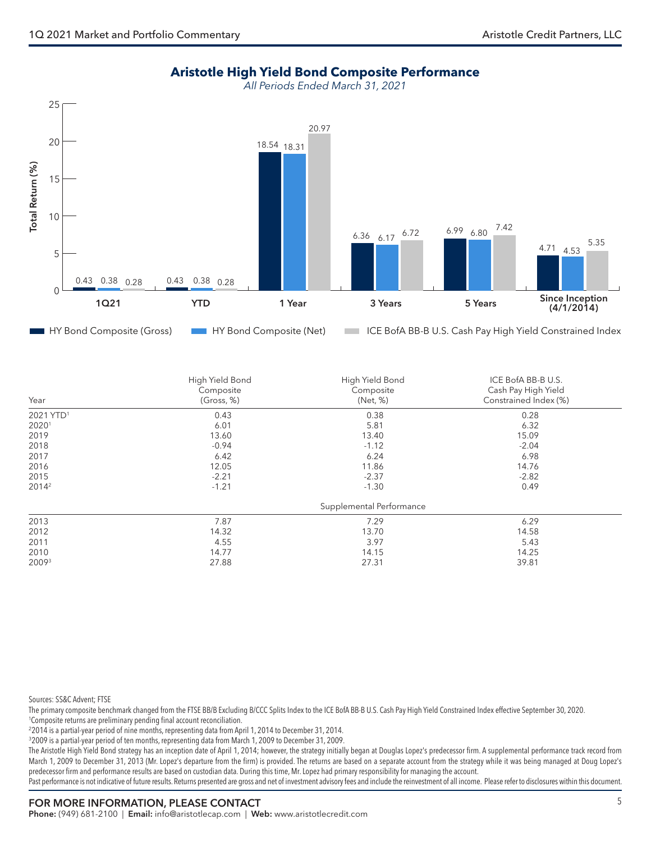## **Aristotle High Yield Bond Composite Performance**

*All Periods Ended March 31, 2021*



| Year                  | High Yield Bond<br>Composite<br>(Gross, %) | High Yield Bond<br>Composite<br>(Net, %) | ICE BofA BB-B U.S.<br>Cash Pay High Yield<br>Constrained Index (%) |
|-----------------------|--------------------------------------------|------------------------------------------|--------------------------------------------------------------------|
| 2021 YTD <sup>1</sup> | 0.43                                       | 0.38                                     | 0.28                                                               |
| 20201                 | 6.01                                       | 5.81                                     | 6.32                                                               |
| 2019                  | 13.60                                      | 13.40                                    | 15.09                                                              |
| 2018                  | $-0.94$                                    | $-1.12$                                  | $-2.04$                                                            |
| 2017                  | 6.42                                       | 6.24                                     | 6.98                                                               |
| 2016                  | 12.05                                      | 11.86                                    | 14.76                                                              |
| 2015                  | $-2.21$                                    | $-2.37$                                  | $-2.82$                                                            |
| $2014^2$              | $-1.21$                                    | $-1.30$                                  | 0.49                                                               |
|                       |                                            | Supplemental Performance                 |                                                                    |
| 2013                  | 7.87                                       | 7.29                                     | 6.29                                                               |
| 2012                  | 14.32                                      | 13.70                                    | 14.58                                                              |
| 2011                  | 4.55                                       | 3.97                                     | 5.43                                                               |
| 2010                  | 14.77                                      | 14.15                                    | 14.25                                                              |
| 20093                 | 27.88                                      | 27.31                                    | 39.81                                                              |

Sources: SS&C Advent; FTSE

The primary composite benchmark changed from the FTSE BB/B Excluding B/CCC Splits Index to the ICE BofA BB-B U.S. Cash Pay High Yield Constrained Index effective September 30, 2020. 1 Composite returns are preliminary pending final account reconciliation.

<sup>2</sup>2014 is a partial-year period of nine months, representing data from April 1, 2014 to December 31, 2014.

<sup>3</sup>2009 is a partial-year period of ten months, representing data from March 1, 2009 to December 31, 2009.

The Aristotle High Yield Bond strategy has an inception date of April 1, 2014; however, the strategy initially began at Douglas Lopez's predecessor firm. A supplemental performance track record from March 1, 2009 to December 31, 2013 (Mr. Lopez's departure from the firm) is provided. The returns are based on a separate account from the strategy while it was being managed at Doug Lopez's predecessor firm and performance results are based on custodian data. During this time, Mr. Lopez had primary responsibility for managing the account.

Past performance is not indicative of future results. Returns presented are gross and net of investment advisory fees and include the reinvestment of all income. Please refer to disclosures within this document.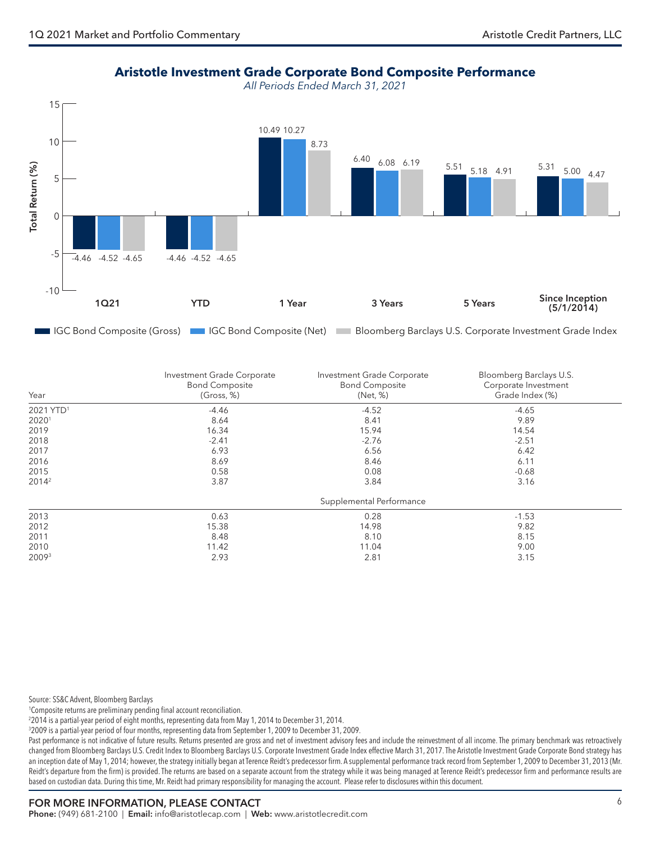**Aristotle Investment Grade Corporate Bond Composite Performance**

*All Periods Ended March 31, 2021*



| Year                  | Investment Grade Corporate<br><b>Bond Composite</b><br>(Gross, %) | Investment Grade Corporate<br><b>Bond Composite</b><br>(Net, %) | Bloomberg Barclays U.S.<br>Corporate Investment<br>Grade Index (%) |
|-----------------------|-------------------------------------------------------------------|-----------------------------------------------------------------|--------------------------------------------------------------------|
| 2021 YTD <sup>1</sup> | $-4.46$                                                           | $-4.52$                                                         | $-4.65$                                                            |
| 20201                 | 8.64                                                              | 8.41                                                            | 9.89                                                               |
| 2019                  | 16.34                                                             | 15.94                                                           | 14.54                                                              |
| 2018                  | $-2.41$                                                           | $-2.76$                                                         | $-2.51$                                                            |
| 2017                  | 6.93                                                              | 6.56                                                            | 6.42                                                               |
| 2016                  | 8.69                                                              | 8.46                                                            | 6.11                                                               |
| 2015                  | 0.58                                                              | 0.08                                                            | $-0.68$                                                            |
| 2014 <sup>2</sup>     | 3.87                                                              | 3.84                                                            | 3.16                                                               |
|                       |                                                                   | Supplemental Performance                                        |                                                                    |
| 2013                  | 0.63                                                              | 0.28                                                            | $-1.53$                                                            |
| 2012                  | 15.38                                                             | 14.98                                                           | 9.82                                                               |
| 2011                  | 8.48                                                              | 8.10                                                            | 8.15                                                               |
| 2010                  | 11.42                                                             | 11.04                                                           | 9.00                                                               |
| 20093                 | 2.93                                                              | 2.81                                                            | 3.15                                                               |

Source: SS&C Advent, Bloomberg Barclays

1 Composite returns are preliminary pending final account reconciliation.

2 2014 is a partial-year period of eight months, representing data from May 1, 2014 to December 31, 2014.

3 2009 is a partial-year period of four months, representing data from September 1, 2009 to December 31, 2009.

Past performance is not indicative of future results. Returns presented are gross and net of investment advisory fees and include the reinvestment of all income. The primary benchmark was retroactively changed from Bloomberg Barclays U.S. Credit Index to Bloomberg Barclays U.S. Corporate Investment Grade Index effective March 31, 2017. The Aristotle Investment Grade Corporate Bond strategy has an inception date of May 1, 2014; however, the strategy initially began at Terence Reidt's predecessor firm. A supplemental performance track record from September 1, 2009 to December 31, 2013 (Mr. Reidt's departure from the firm) is provided. The returns are based on a separate account from the strategy while it was being managed at Terence Reidt's predecessor firm and performance results are based on custodian data. During this time, Mr. Reidt had primary responsibility for managing the account. Please refer to disclosures within this document.